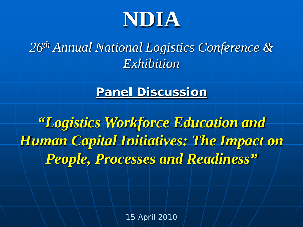

*26th Annual National Logistics Conference & Exhibition*

### **Panel Discussion**

*"Logistics Workforce Education and Human Capital Initiatives: The Impact on People, Processes and Readiness"*

15 April 2010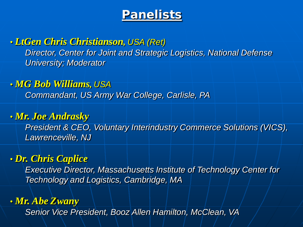## **Panelists**

#### • *LtGen Chris Christianson, USA (Ret)*

*Director, Center for Joint and Strategic Logistics, National Defense University; Moderator*

#### • *MG Bob Williams, USA*

*Commandant, US Army War College, Carlisle, PA*

#### • *Mr. Joe Andrasky*

*President & CEO, Voluntary Interindustry Commerce Solutions (VICS), Lawrenceville, NJ*

#### • *Dr. Chris Caplice*

*Executive Director, Massachusetts Institute of Technology Center for Technology and Logistics, Cambridge, MA*

#### • *Mr. Abe Zwany*

*Senior Vice President, Booz Allen Hamilton, McClean, VA*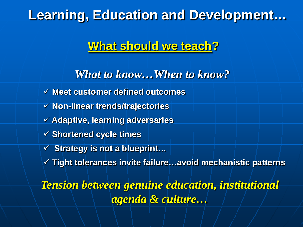# **Learning, Education and Development…**

## **What should we teach?**

*What to know…When to know?* **Meet customer defined outcomes Non-linear trends/trajectories Adaptive, learning adversaries**

- **Shortened cycle times**
- **Strategy is not a blueprint…**
- **Tight tolerances invite failure…avoid mechanistic patterns**

*Tension between genuine education, institutional agenda & culture…*